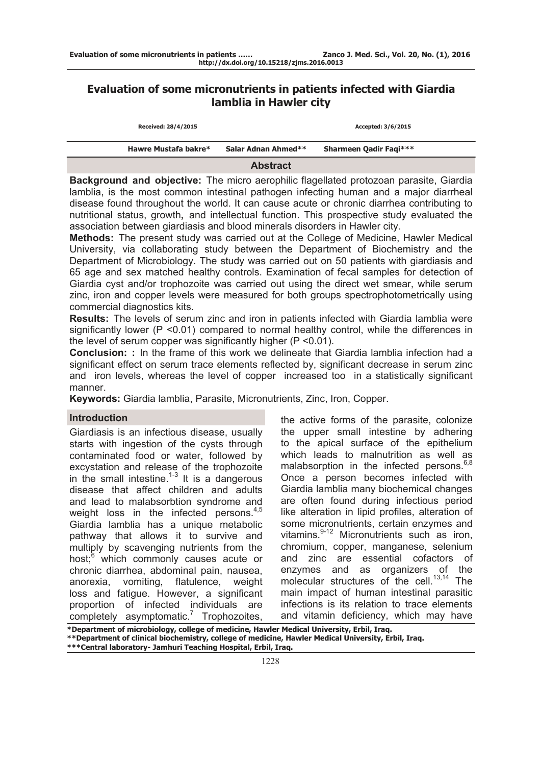# **Evaluation of some micronutrients in patients infected with Giardia lamblia in Hawler city**

| Hawre Mustafa bakre* | Salar Adnan Ahmed** | <b>Sharmeen Qadir Fagi***</b> |  |
|----------------------|---------------------|-------------------------------|--|
|                      | <b>Abstract</b>     |                               |  |

**Background and objective:** The micro aerophilic flagellated protozoan parasite, Giardia lamblia, is the most common intestinal pathogen infecting human and a major diarrheal disease found throughout the world. It can cause acute or chronic diarrhea contributing to nutritional status, growth**,** and intellectual function. This prospective study evaluated the association between giardiasis and blood minerals disorders in Hawler city.

**Methods:** The present study was carried out at the College of Medicine, Hawler Medical University, via collaborating study between the Department of Biochemistry and the Department of Microbiology. The study was carried out on 50 patients with giardiasis and 65 age and sex matched healthy controls. Examination of fecal samples for detection of Giardia cyst and/or trophozoite was carried out using the direct wet smear, while serum zinc, iron and copper levels were measured for both groups spectrophotometrically using commercial diagnostics kits.

**Results:** The levels of serum zinc and iron in patients infected with Giardia lamblia were significantly lower (P <0.01) compared to normal healthy control, while the differences in the level of serum copper was significantly higher (P <0.01).

**Conclusion: :** In the frame of this work we delineate that Giardia lamblia infection had a significant effect on serum trace elements reflected by, significant decrease in serum zinc and iron levels, whereas the level of copper increased too in a statistically significant manner.

**Keywords:** Giardia lamblia, Parasite, Micronutrients, Zinc, Iron, Copper.

#### **Introduction**

Giardiasis is an infectious disease, usually starts with ingestion of the cysts through contaminated food or water, followed by excystation and release of the trophozoite in the small intestine.<sup>1-3</sup> It is a dangerous disease that affect children and adults and lead to malabsorbtion syndrome and weight loss in the infected persons.<sup>4,5</sup> Giardia lamblia has a unique metabolic pathway that allows it to survive and multiply by scavenging nutrients from the host;<sup>6</sup> which commonly causes acute or chronic diarrhea, abdominal pain, nausea, anorexia, vomiting, flatulence, weight loss and fatigue. However, a significant proportion of infected individuals are completely asymptomatic.<sup>7</sup> Trophozoites, the active forms of the parasite, colonize the upper small intestine by adhering to the apical surface of the epithelium which leads to malnutrition as well as malabsorption in the infected persons.<sup>6,8</sup> Once a person becomes infected with Giardia lamblia many biochemical changes are often found during infectious period like alteration in lipid profiles, alteration of some micronutrients, certain enzymes and vitamins.<sup>9-12</sup> Micronutrients such as iron, chromium, copper, manganese, selenium and zinc are essential cofactors of enzymes and as organizers of the molecular structures of the cell.<sup>13,14</sup> The main impact of human intestinal parasitic infections is its relation to trace elements and vitamin deficiency, which may have

**\*Department of microbiology, college of medicine, Hawler Medical University, Erbil, Iraq. \*\*Department of clinical biochemistry, college of medicine, Hawler Medical University, Erbil, Iraq. \*\*\*Central laboratory- Jamhuri Teaching Hospital, Erbil, Iraq.**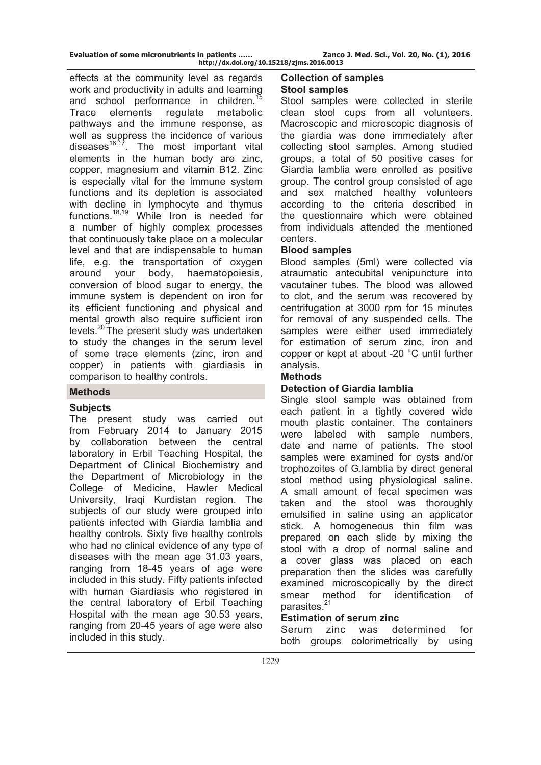effects at the community level as regards work and productivity in adults and learning and school performance in children.<sup>15</sup> Trace elements regulate metabolic pathways and the immune response, as well as suppress the incidence of various diseases $16,17$ . The most important vital elements in the human body are zinc, copper, magnesium and vitamin B12. Zinc is especially vital for the immune system functions and its depletion is associated with decline in lymphocyte and thymus functions.18,19 While [Iron](http://www.nelsonsnaturalworld.com/en-gb/uk/our-brands/spatone/iron-essentials/introduction-to-iron) is needed for a number of highly complex processes that continuously take place on a molecular level and that are indispensable to human life, e.g. the transportation of oxygen around your body, haematopoiesis, conversion of blood sugar to energy, the immune system is dependent on iron for its efficient functioning and physical and mental growth also require sufficient iron levels.20 The present study was undertaken to study the changes in the serum level of some trace elements (zinc, iron and copper) in patients with giardiasis in comparison to healthy controls.

# **Methods**

# **Subjects**

The present study was carried out from February 2014 to January 2015 by collaboration between the central laboratory in Erbil Teaching Hospital, the Department of Clinical Biochemistry and the Department of Microbiology in the College of Medicine, Hawler Medical University, Iraqi Kurdistan region. The subjects of our study were grouped into patients infected with Giardia lamblia and healthy controls. Sixty five healthy controls who had no clinical evidence of any type of diseases with the mean age 31.03 years, ranging from 18-45 years of age were included in this study. Fifty patients infected with human Giardiasis who registered in the central laboratory of Erbil Teaching Hospital with the mean age 30.53 years, ranging from 20-45 years of age were also included in this study.

### **Collection of samples Stool samples**

Stool samples were collected in sterile clean stool cups from all volunteers. Macroscopic and microscopic diagnosis of the giardia was done immediately after collecting stool samples. Among studied groups, a total of 50 positive cases for Giardia lamblia were enrolled as positive group. The control group consisted of age and sex matched healthy volunteers according to the criteria described in the questionnaire which were obtained from individuals attended the mentioned centers.

# **Blood samples**

Blood samples (5ml) were collected via atraumatic antecubital venipuncture into vacutainer tubes. The blood was allowed to clot, and the serum was recovered by centrifugation at 3000 rpm for 15 minutes for removal of any suspended cells. The samples were either used immediately for estimation of serum zinc, iron and copper or kept at about -20 °C until further analysis.

### **Methods**

# **Detection of Giardia lamblia**

Single stool sample was obtained from each patient in a tightly covered wide mouth plastic container. The containers were labeled with sample numbers, date and name of patients. The stool samples were examined for cysts and/or trophozoites of G.lamblia by direct general stool method using physiological saline. A small amount of fecal specimen was taken and the stool was thoroughly emulsified in saline using an applicator stick. A homogeneous thin film was prepared on each slide by mixing the stool with a drop of normal saline and a cover glass was placed on each preparation then the slides was carefully examined microscopically by the direct smear method for identification of parasites.<sup>21</sup>

# **Estimation of serum zinc**

Serum zinc was determined for both groups colorimetrically by using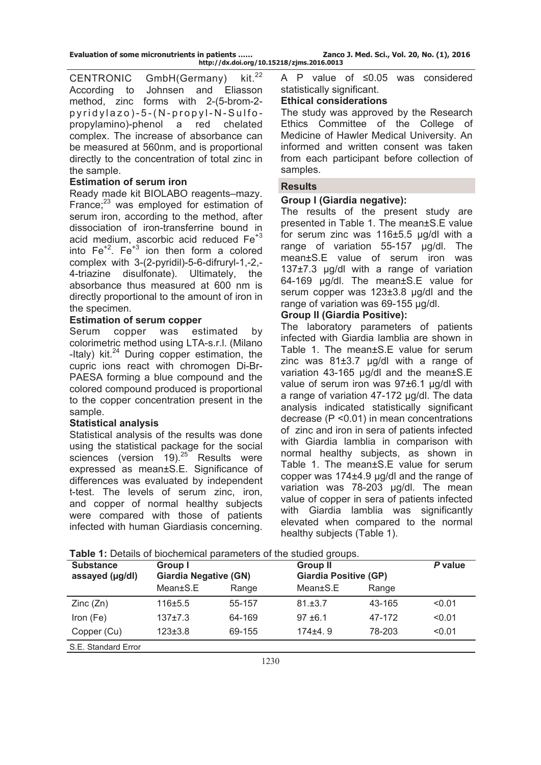CENTRONIC GmbH(Germany) kit.<sup>22</sup> According to Johnsen and Eliasson method, zinc forms with 2-(5-brom-2 pyridylazo)-5-(N-propyl-N-Sulfopropylamino)-phenol a red chelated complex. The increase of absorbance can be measured at 560nm, and is proportional directly to the concentration of total zinc in the sample.

## **Estimation of serum iron**

Ready made kit BIOLABO reagents–mazy. France; $^{23}$  was employed for estimation of serum iron, according to the method, after dissociation of iron-transferrine bound in acid medium, ascorbic acid reduced Fe<sup>+3</sup> into  $Fe<sup>+2</sup>$ . Fe<sup>+3</sup> ion then form a colored complex with 3-(2-pyridil)-5-6-difruryl-1,-2,- 4-triazine disulfonate). Ultimately, the absorbance thus measured at 600 nm is directly proportional to the amount of iron in the specimen.

### **Estimation of serum copper**

Serum copper was estimated by colorimetric method using LTA-s.r.l. (Milano -Italy) kit. $^{24}$  During copper estimation, the cupric ions react with chromogen Di-Br-PAESA forming a blue compound and the colored compound produced is proportional to the copper concentration present in the sample.

#### **Statistical analysis**

Statistical analysis of the results was done using the statistical package for the social sciences (version 19). $25$  Results were expressed as mean±S.E. Significance of differences was evaluated by independent t-test. The levels of serum zinc, iron, and copper of normal healthy subjects were compared with those of patients infected with human Giardiasis concerning. A P value of ≤0.05 was considered statistically significant.

## **Ethical considerations**

The study was approved by the Research Ethics Committee of the College of Medicine of Hawler Medical University. An informed and written consent was taken from each participant before collection of samples.

#### **Results**

# **Group I (Giardia negative):**

The results of the present study are presented in Table 1. The mean±S.E value for serum zinc was 116±5.5 µg/dl with a range of variation 55-157 µg/dl. The mean±S.E value of serum iron was 137±7.3 µg/dl with a range of variation 64-169 µg/dl. The mean±S.E value for serum copper was 123±3.8 µg/dl and the range of variation was 69-155 µg/dl.

# **Group II (Giardia Positive):**

The laboratory parameters of patients infected with Giardia lamblia are shown in Table 1. The mean±S.E value for serum zinc was 81±3.7 µg/dl with a range of variation 43-165 µg/dl and the mean±S.E value of serum iron was 97±6.1 µg/dl with a range of variation 47-172 µg/dl. The data analysis indicated statistically significant decrease (P <0.01) in mean concentrations of zinc and iron in sera of patients infected with Giardia lamblia in comparison with normal healthy subjects, as shown in Table 1. The mean±S.E value for serum copper was 174±4.9 µg/dl and the range of variation was 78-203 µg/dl. The mean value of copper in sera of patients infected with Giardia lamblia was significantly elevated when compared to the normal healthy subjects (Table 1).

| <b>Substance</b><br>assayed (µg/dl) | Group I<br><b>Giardia Negative (GN)</b> |        | <b>Group II</b><br><b>Giardia Positive (GP)</b> |        | P value |
|-------------------------------------|-----------------------------------------|--------|-------------------------------------------------|--------|---------|
|                                     | Mean±S.E                                | Range  | Mean±S.E                                        | Range  |         |
| Zinc(Zn)                            | $116 + 5.5$                             | 55-157 | 81.±3.7                                         | 43-165 | < 0.01  |
| Iron $(Fe)$                         | $137+7.3$                               | 64-169 | $97 + 6.1$                                      | 47-172 | < 0.01  |
| Copper (Cu)                         | $123 \pm 3.8$                           | 69-155 | $174 + 4.9$                                     | 78-203 | < 0.01  |
| S.E. Standard Error                 |                                         |        |                                                 |        |         |

**Table 1:** Details of biochemical parameters of the studied groups.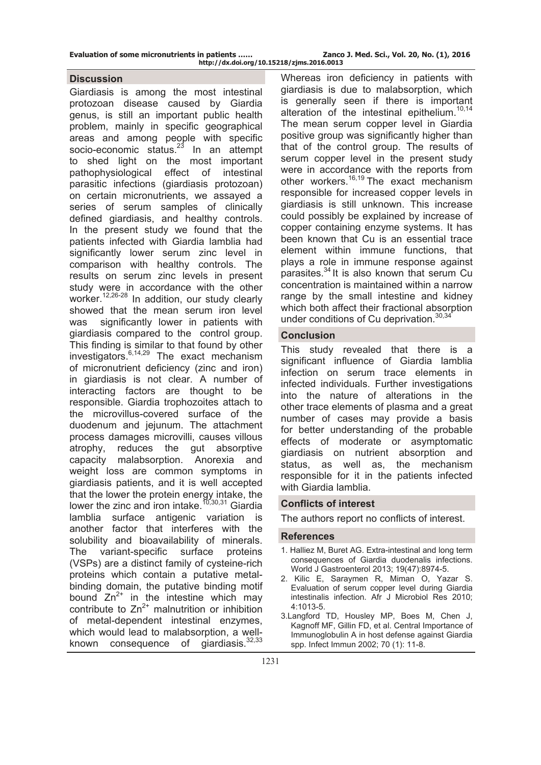**Evaluation of some micronutrients in patients …… Zanco J. Med. Sci., Vol. 20, No. (1), 2016** 

#### **Discussion**

Giardiasis is among the most intestinal protozoan disease caused by Giardia genus, is still an important public health problem, mainly in specific geographical areas and among people with specific socio-economic status. $23$  In an attempt to shed light on the most important pathophysiological effect of intestinal parasitic infections (giardiasis protozoan) on certain micronutrients, we assayed a series of serum samples of clinically defined giardiasis, and healthy controls. In the present study we found that the patients infected with Giardia lamblia had significantly lower serum zinc level in comparison with healthy controls. The results on serum zinc levels in present study were in accordance with the other worker.<sup>12,26-28</sup> In addition, our study clearly showed that the mean serum iron level was significantly lower in patients with giardiasis compared to the control group. This finding is similar to that found by other investigators.  $6,14,29$  The exact mechanism of micronutrient deficiency (zinc and iron) in giardiasis is not clear. A number of interacting factors are thought to be responsible. Giardia trophozoites attach to the microvillus-covered surface of the duodenum and jejunum. The attachment process damages microvilli, causes villous atrophy, reduces the gut absorptive capacity malabsorption. Anorexia and weight loss are common symptoms in giardiasis patients, and it is well accepted that the lower the protein energy intake, the lower the zinc and iron intake.<sup>10,30,31</sup> Giardia lamblia surface antigenic variation is another factor that interferes with the solubility and bioavailability of minerals. The variant-specific surface proteins (VSPs) are a distinct family of cysteine-rich proteins which contain a putative metalbinding domain, the putative binding motif bound  $Zn^{2+}$  in the intestine which may contribute to  $Zn^{2+}$  malnutrition or inhibition of metal-dependent intestinal enzymes, which would lead to malabsorption, a wellknown consequence of giardiasis.<sup>32,33</sup>

Whereas iron deficiency in patients with giardiasis is due to malabsorption, which is generally seen if there is important alteration of the intestinal epithelium. $10,14$ The mean serum copper level in Giardia positive group was significantly higher than that of the control group. The results of serum copper level in the present study were in accordance with the reports from other workers.<sup>16,19</sup> The exact mechanism responsible for increased copper levels in giardiasis is still unknown. This increase could possibly be explained by increase of copper containing enzyme systems. It has been known that Cu is an essential trace element within immune functions, that plays a role in immune response against parasites.<sup>34</sup> It is also known that serum Cu concentration is maintained within a narrow range by the small intestine and kidney which both affect their fractional absorption under conditions of Cu deprivation.<sup>30,34</sup>

#### **Conclusion**

This study revealed that there is a significant influence of Giardia lamblia infection on serum trace elements in infected individuals. Further investigations into the nature of alterations in the other trace elements of plasma and a great number of cases may provide a basis for better understanding of the probable effects of moderate or asymptomatic giardiasis on nutrient absorption and status, as well as, the mechanism responsible for it in the patients infected with Giardia lamblia.

#### **Conflicts of interest**

The authors report no conflicts of interest.

#### **References**

- 1. Halliez M, Buret AG. Extra-intestinal and long term consequences of Giardia duodenalis infections. World J Gastroenterol 2013; 19(47):8974-5.
- 2. Kilic E, Saraymen R, Miman O, Yazar S. Evaluation of serum copper level during Giardia intestinalis infection. Afr J Microbiol Res 2010; 4:1013-5.
- 3.Langford TD, Housley MP, Boes M, Chen J, Kagnoff MF, Gillin FD, et al. Central Importance of Immunoglobulin A in host defense against Giardia spp. Infect Immun 2002; 70 (1): 11-8.